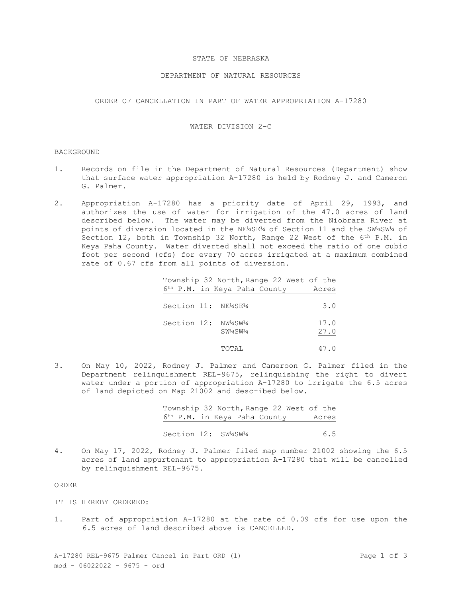# STATE OF NEBRASKA

# DEPARTMENT OF NATURAL RESOURCES

ORDER OF CANCELLATION IN PART OF WATER APPROPRIATION A-17280

# WATER DIVISION 2-C

## **BACKGROUND**

- 1. Records on file in the Department of Natural Resources (Department) show that surface water appropriation A-17280 is held by Rodney J. and Cameron G. Palmer.
- 2. Appropriation A-17280 has a priority date of April 29, 1993, and authorizes the use of water for irrigation of the 47.0 acres of land described below. The water may be diverted from the Niobrara River at points of diversion located in the NE¼SE¼ of Section 11 and the SW¼SW¼ of Section 12, both in Township 32 North, Range 22 West of the 6<sup>th</sup> P.M. in Keya Paha County. Water diverted shall not exceed the ratio of one cubic foot per second (cfs) for every 70 acres irrigated at a maximum combined rate of 0.67 cfs from all points of diversion.

Township 32 North, Range 22 West of the 6th P.M. in Keya Paha County Acres

| Section 11: NE4SE4 |        | 3.0          |
|--------------------|--------|--------------|
| Section 12: NW4SW4 | SW4SW4 | 17.0<br>27.0 |
|                    | TOTAL  | 47.0         |

3. On May 10, 2022, Rodney J. Palmer and Cameroon G. Palmer filed in the Department relinquishment REL-9675, relinquishing the right to divert water under a portion of appropriation A-17280 to irrigate the 6.5 acres of land depicted on Map 21002 and described below.

> Township 32 North, Range 22 West of the 6th P.M. in Keya Paha County Acres Section 12: SW14SW14 6.5

4. On May 17, 2022, Rodney J. Palmer filed map number 21002 showing the 6.5 acres of land appurtenant to appropriation A-17280 that will be cancelled by relinquishment REL-9675.

#### ORDER

- IT IS HEREBY ORDERED:
- 1. Part of appropriation A-17280 at the rate of 0.09 cfs for use upon the 6.5 acres of land described above is CANCELLED.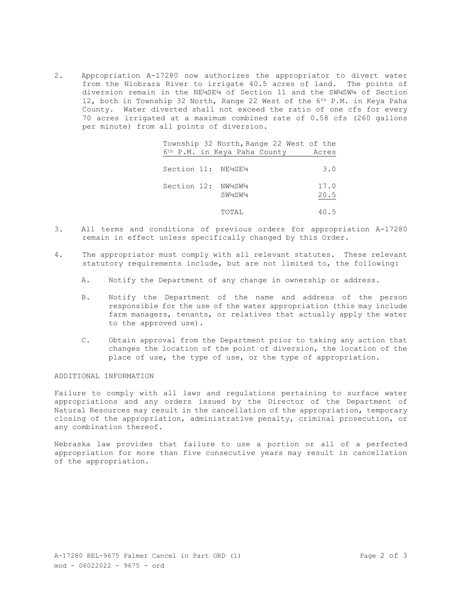2. Appropriation A-17280 now authorizes the appropriator to divert water from the Niobrara River to irrigate 40.5 acres of land. The points of diversion remain in the NE¼SE¼ of Section 11 and the SW¼SW¼ of Section 12, both in Township 32 North, Range 22 West of the 6th P.M. in Keya Paha County. Water diverted shall not exceed the ratio of one cfs for every 70 acres irrigated at a maximum combined rate of 0.58 cfs (260 gallons per minute) from all points of diversion.

|                    | Township 32 North, Range 22 West of the  |              |
|--------------------|------------------------------------------|--------------|
|                    | 6 <sup>th</sup> P.M. in Keya Paha County | Acres        |
| Section 11: NE4SE4 |                                          | 3.0          |
| Section 12: NW4SW4 | SW4SW4                                   | 17.0<br>20.5 |
|                    | TOTAL                                    | 40.5         |

- 3. All terms and conditions of previous orders for appropriation A-17280 remain in effect unless specifically changed by this Order.
- 4. The appropriator must comply with all relevant statutes. These relevant statutory requirements include, but are not limited to, the following:
	- A. Notify the Department of any change in ownership or address.
	- B. Notify the Department of the name and address of the person responsible for the use of the water appropriation (this may include farm managers, tenants, or relatives that actually apply the water to the approved use).
	- C. Obtain approval from the Department prior to taking any action that changes the location of the point of diversion, the location of the place of use, the type of use, or the type of appropriation.

### ADDITIONAL INFORMATION

Failure to comply with all laws and regulations pertaining to surface water appropriations and any orders issued by the Director of the Department of Natural Resources may result in the cancellation of the appropriation, temporary closing of the appropriation, administrative penalty, criminal prosecution, or any combination thereof.

Nebraska law provides that failure to use a portion or all of a perfected appropriation for more than five consecutive years may result in cancellation of the appropriation.